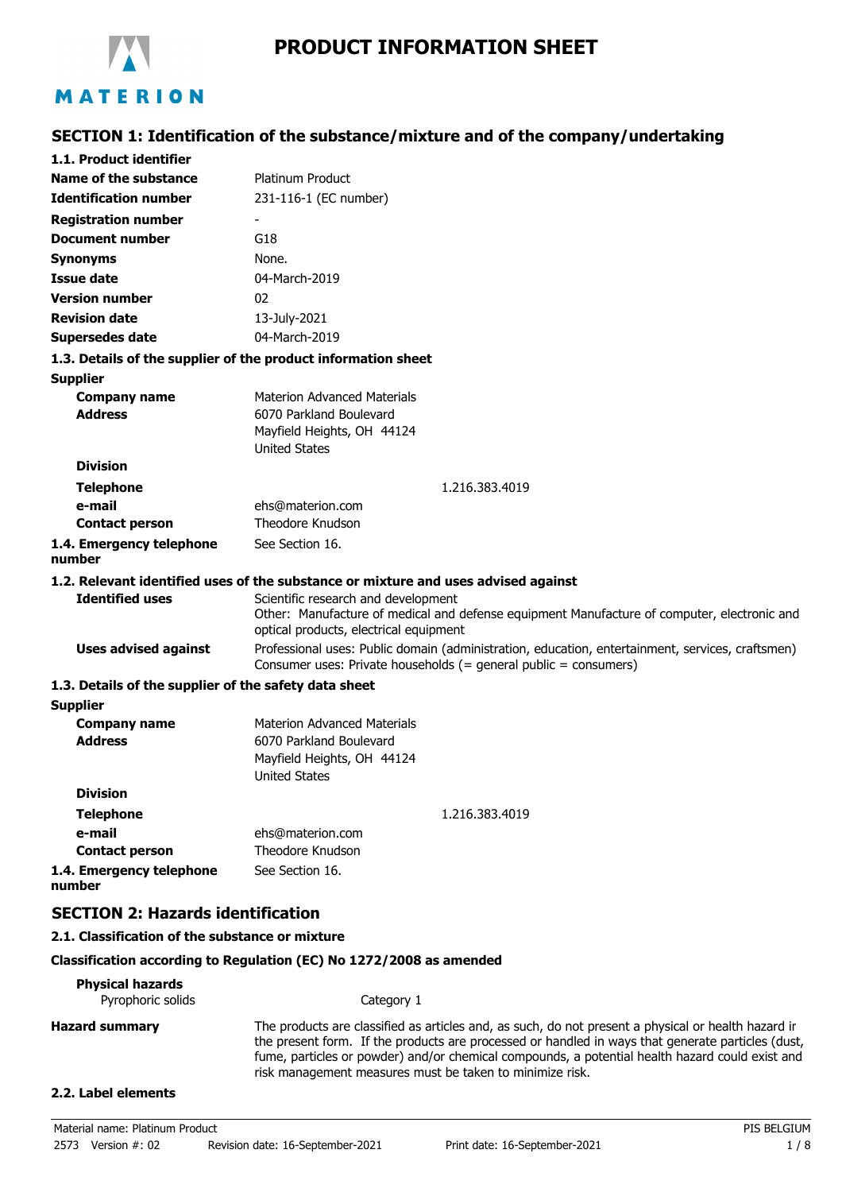

# **SECTION 1: Identification of the substance/mixture and of the company/undertaking**

| 1.1. Product identifier                               |                                                                                                                                                                                                                                                                                                             |
|-------------------------------------------------------|-------------------------------------------------------------------------------------------------------------------------------------------------------------------------------------------------------------------------------------------------------------------------------------------------------------|
| <b>Name of the substance</b>                          | <b>Platinum Product</b>                                                                                                                                                                                                                                                                                     |
| <b>Identification number</b>                          | 231-116-1 (EC number)                                                                                                                                                                                                                                                                                       |
| <b>Registration number</b>                            |                                                                                                                                                                                                                                                                                                             |
| <b>Document number</b>                                | G18                                                                                                                                                                                                                                                                                                         |
| <b>Synonyms</b>                                       | None.                                                                                                                                                                                                                                                                                                       |
| Issue date                                            | 04-March-2019                                                                                                                                                                                                                                                                                               |
| <b>Version number</b>                                 | 02                                                                                                                                                                                                                                                                                                          |
| <b>Revision date</b>                                  | 13-July-2021                                                                                                                                                                                                                                                                                                |
| <b>Supersedes date</b>                                | 04-March-2019                                                                                                                                                                                                                                                                                               |
|                                                       | 1.3. Details of the supplier of the product information sheet                                                                                                                                                                                                                                               |
| <b>Supplier</b>                                       |                                                                                                                                                                                                                                                                                                             |
| <b>Company name</b>                                   | <b>Materion Advanced Materials</b>                                                                                                                                                                                                                                                                          |
| <b>Address</b>                                        | 6070 Parkland Boulevard                                                                                                                                                                                                                                                                                     |
|                                                       | Mayfield Heights, OH 44124                                                                                                                                                                                                                                                                                  |
|                                                       | <b>United States</b>                                                                                                                                                                                                                                                                                        |
| <b>Division</b>                                       |                                                                                                                                                                                                                                                                                                             |
| <b>Telephone</b>                                      | 1.216.383.4019                                                                                                                                                                                                                                                                                              |
| e-mail                                                | ehs@materion.com                                                                                                                                                                                                                                                                                            |
| <b>Contact person</b>                                 | Theodore Knudson                                                                                                                                                                                                                                                                                            |
| 1.4. Emergency telephone<br>number                    | See Section 16.                                                                                                                                                                                                                                                                                             |
|                                                       | 1.2. Relevant identified uses of the substance or mixture and uses advised against                                                                                                                                                                                                                          |
| <b>Identified uses</b>                                | Scientific research and development<br>Other: Manufacture of medical and defense equipment Manufacture of computer, electronic and<br>optical products, electrical equipment                                                                                                                                |
| <b>Uses advised against</b>                           | Professional uses: Public domain (administration, education, entertainment, services, craftsmen)<br>Consumer uses: Private households (= general public = consumers)                                                                                                                                        |
| 1.3. Details of the supplier of the safety data sheet |                                                                                                                                                                                                                                                                                                             |
| <b>Supplier</b>                                       |                                                                                                                                                                                                                                                                                                             |
| <b>Company name</b>                                   | <b>Materion Advanced Materials</b>                                                                                                                                                                                                                                                                          |
| <b>Address</b>                                        | 6070 Parkland Boulevard                                                                                                                                                                                                                                                                                     |
|                                                       | Mayfield Heights, OH 44124<br><b>United States</b>                                                                                                                                                                                                                                                          |
| <b>Division</b>                                       |                                                                                                                                                                                                                                                                                                             |
| <b>Telephone</b>                                      | 1.216.383.4019                                                                                                                                                                                                                                                                                              |
| e-mail                                                | ehs@materion.com                                                                                                                                                                                                                                                                                            |
| <b>Contact person</b>                                 | Theodore Knudson                                                                                                                                                                                                                                                                                            |
| 1.4. Emergency telephone<br>number                    | See Section 16.                                                                                                                                                                                                                                                                                             |
| <b>SECTION 2: Hazards identification</b>              |                                                                                                                                                                                                                                                                                                             |
| 2.1. Classification of the substance or mixture       |                                                                                                                                                                                                                                                                                                             |
|                                                       | Classification according to Regulation (EC) No 1272/2008 as amended                                                                                                                                                                                                                                         |
| <b>Physical hazards</b><br>Pyrophoric solids          | Category 1                                                                                                                                                                                                                                                                                                  |
| <b>Hazard summary</b>                                 | The products are classified as articles and, as such, do not present a physical or health hazard ir<br>the present form. If the products are processed or handled in ways that generate particles (dust,<br>fume, particles or powder) and/or chemical compounds, a potential health hazard could exist and |

risk management measures must be taken to minimize risk.

## **2.2. Label elements**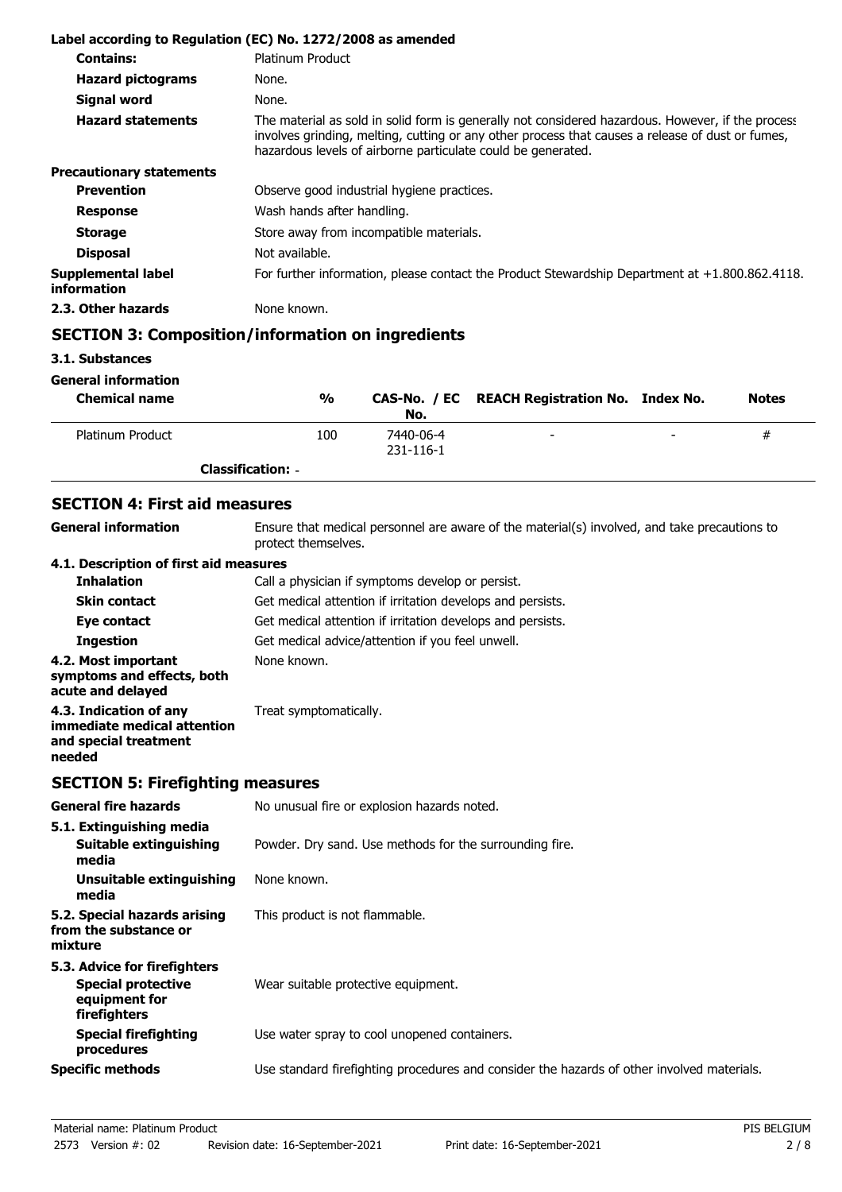|                                   | Label according to Regulation (EC) No. 1272/2008 as amended                                                                                                                                                                                                           |
|-----------------------------------|-----------------------------------------------------------------------------------------------------------------------------------------------------------------------------------------------------------------------------------------------------------------------|
| <b>Contains:</b>                  | Platinum Product                                                                                                                                                                                                                                                      |
| <b>Hazard pictograms</b>          | None.                                                                                                                                                                                                                                                                 |
| Signal word                       | None.                                                                                                                                                                                                                                                                 |
| <b>Hazard statements</b>          | The material as sold in solid form is generally not considered hazardous. However, if the process<br>involves grinding, melting, cutting or any other process that causes a release of dust or fumes,<br>hazardous levels of airborne particulate could be generated. |
| <b>Precautionary statements</b>   |                                                                                                                                                                                                                                                                       |
| <b>Prevention</b>                 | Observe good industrial hygiene practices.                                                                                                                                                                                                                            |
| <b>Response</b>                   | Wash hands after handling.                                                                                                                                                                                                                                            |
| <b>Storage</b>                    | Store away from incompatible materials.                                                                                                                                                                                                                               |
| <b>Disposal</b>                   | Not available.                                                                                                                                                                                                                                                        |
| Supplemental label<br>information | For further information, please contact the Product Stewardship Department at $+1.800.862.4118$ .                                                                                                                                                                     |
| 2.3. Other hazards                | None known.                                                                                                                                                                                                                                                           |

## **SECTION 3: Composition/information on ingredients**

- **3.1. Substances**
- **General information**

| <b>Chemical name</b> | $\frac{0}{0}$            | No.                    | CAS-No. / EC REACH Registration No. Index No. |                          | <b>Notes</b> |
|----------------------|--------------------------|------------------------|-----------------------------------------------|--------------------------|--------------|
| Platinum Product     | 100                      | 7440-06-4<br>231-116-1 | $\overline{\phantom{a}}$                      | $\overline{\phantom{0}}$ | #            |
|                      | <b>Classification: -</b> |                        |                                               |                          |              |

## **SECTION 4: First aid measures**

**General information**

Ensure that medical personnel are aware of the material(s) involved, and take precautions to protect themselves.

## **4.1. Description of first aid measures**

| <b>Inhalation</b>                                                              | Call a physician if symptoms develop or persist.           |
|--------------------------------------------------------------------------------|------------------------------------------------------------|
| <b>Skin contact</b>                                                            | Get medical attention if irritation develops and persists. |
| Eye contact                                                                    | Get medical attention if irritation develops and persists. |
| <b>Ingestion</b>                                                               | Get medical advice/attention if you feel unwell.           |
| 4.2. Most important<br>symptoms and effects, both<br>acute and delayed         | None known.                                                |
| 4.3. Indication of any<br>immediate medical attention<br>and special treatment | Treat symptomatically.                                     |

# **needed**

# **SECTION 5: Firefighting measures**

| <b>General fire hazards</b>                                                                | No unusual fire or explosion hazards noted.                                                |
|--------------------------------------------------------------------------------------------|--------------------------------------------------------------------------------------------|
| 5.1. Extinguishing media<br>Suitable extinguishing<br>media                                | Powder. Dry sand. Use methods for the surrounding fire.                                    |
| Unsuitable extinguishing<br>media                                                          | None known.                                                                                |
| 5.2. Special hazards arising<br>from the substance or<br>mixture                           | This product is not flammable.                                                             |
| 5.3. Advice for firefighters<br><b>Special protective</b><br>equipment for<br>firefighters | Wear suitable protective equipment.                                                        |
| <b>Special firefighting</b><br>procedures                                                  | Use water spray to cool unopened containers.                                               |
| <b>Specific methods</b>                                                                    | Use standard firefighting procedures and consider the hazards of other involved materials. |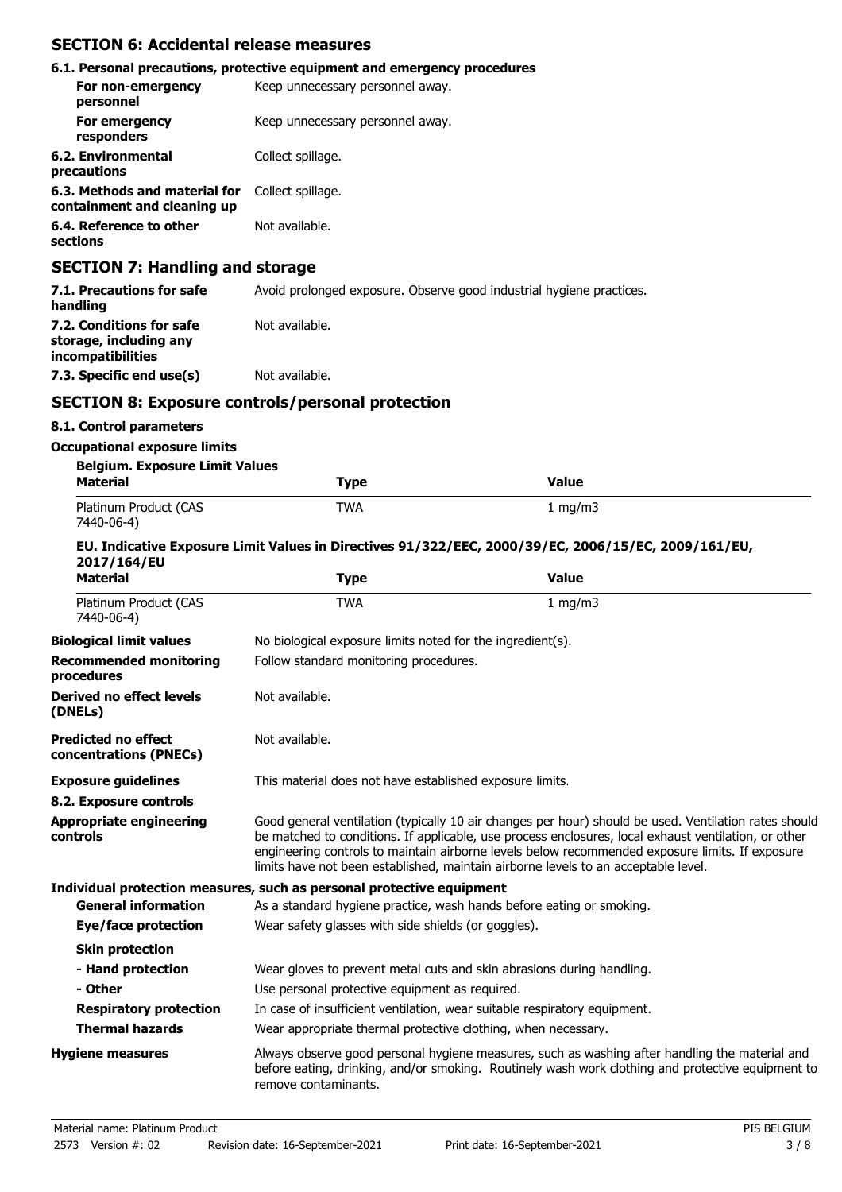## **SECTION 6: Accidental release measures**

|                                                              | 6.1. Personal precautions, protective equipment and emergency procedures |
|--------------------------------------------------------------|--------------------------------------------------------------------------|
| For non-emergency<br>personnel                               | Keep unnecessary personnel away.                                         |
| For emergency<br>responders                                  | Keep unnecessary personnel away.                                         |
| 6.2. Environmental<br>precautions                            | Collect spillage.                                                        |
| 6.3. Methods and material for<br>containment and cleaning up | Collect spillage.                                                        |
| 6.4. Reference to other<br>sections                          | Not available.                                                           |
| <b>SECTION 7: Handling and storage</b>                       |                                                                          |

| 7.1. Precautions for safe<br>handling                                          | Avoid prolonged exposure. Observe good industrial hygiene practices. |
|--------------------------------------------------------------------------------|----------------------------------------------------------------------|
| 7.2. Conditions for safe<br>storage, including any<br><i>incompatibilities</i> | Not available.                                                       |
| 7.3. Specific end use(s)                                                       | Not available.                                                       |

## **SECTION 8: Exposure controls/personal protection**

## **8.1. Control parameters**

#### **Occupational exposure limits**

| <b>Belgium. Exposure Limit Values</b> |            |           |
|---------------------------------------|------------|-----------|
| Material                              | Type       | Value     |
| Platinum Product (CAS<br>7440-06-4)   | <b>TWA</b> | 1 $mq/m3$ |

### **EU. Indicative Exposure Limit Values in Directives 91/322/EEC, 2000/39/EC, 2006/15/EC, 2009/161/EU, 2017/164/EU**

| <b>Material</b>                                      | <b>Type</b>                                                               | <b>Value</b>                                                                                                                                                                                                                                                                                                                                                                                           |
|------------------------------------------------------|---------------------------------------------------------------------------|--------------------------------------------------------------------------------------------------------------------------------------------------------------------------------------------------------------------------------------------------------------------------------------------------------------------------------------------------------------------------------------------------------|
| Platinum Product (CAS<br>7440-06-4)                  | <b>TWA</b>                                                                | 1 mg/m3                                                                                                                                                                                                                                                                                                                                                                                                |
| <b>Biological limit values</b>                       | No biological exposure limits noted for the ingredient(s).                |                                                                                                                                                                                                                                                                                                                                                                                                        |
| <b>Recommended monitoring</b><br>procedures          | Follow standard monitoring procedures.                                    |                                                                                                                                                                                                                                                                                                                                                                                                        |
| Derived no effect levels<br>(DNELs)                  | Not available.                                                            |                                                                                                                                                                                                                                                                                                                                                                                                        |
| <b>Predicted no effect</b><br>concentrations (PNECs) | Not available.                                                            |                                                                                                                                                                                                                                                                                                                                                                                                        |
| <b>Exposure guidelines</b>                           | This material does not have established exposure limits.                  |                                                                                                                                                                                                                                                                                                                                                                                                        |
| 8.2. Exposure controls                               |                                                                           |                                                                                                                                                                                                                                                                                                                                                                                                        |
| <b>Appropriate engineering</b><br>controls           |                                                                           | Good general ventilation (typically 10 air changes per hour) should be used. Ventilation rates should<br>be matched to conditions. If applicable, use process enclosures, local exhaust ventilation, or other<br>engineering controls to maintain airborne levels below recommended exposure limits. If exposure<br>limits have not been established, maintain airborne levels to an acceptable level. |
|                                                      | Individual protection measures, such as personal protective equipment     |                                                                                                                                                                                                                                                                                                                                                                                                        |
| <b>General information</b>                           | As a standard hygiene practice, wash hands before eating or smoking.      |                                                                                                                                                                                                                                                                                                                                                                                                        |
| Eye/face protection                                  | Wear safety glasses with side shields (or goggles).                       |                                                                                                                                                                                                                                                                                                                                                                                                        |
| <b>Skin protection</b>                               |                                                                           |                                                                                                                                                                                                                                                                                                                                                                                                        |
| - Hand protection                                    | Wear gloves to prevent metal cuts and skin abrasions during handling.     |                                                                                                                                                                                                                                                                                                                                                                                                        |
| - Other                                              | Use personal protective equipment as required.                            |                                                                                                                                                                                                                                                                                                                                                                                                        |
| <b>Respiratory protection</b>                        | In case of insufficient ventilation, wear suitable respiratory equipment. |                                                                                                                                                                                                                                                                                                                                                                                                        |
| <b>Thermal hazards</b>                               | Wear appropriate thermal protective clothing, when necessary.             |                                                                                                                                                                                                                                                                                                                                                                                                        |
| <b>Hygiene measures</b>                              | remove contaminants.                                                      | Always observe good personal hygiene measures, such as washing after handling the material and<br>before eating, drinking, and/or smoking. Routinely wash work clothing and protective equipment to                                                                                                                                                                                                    |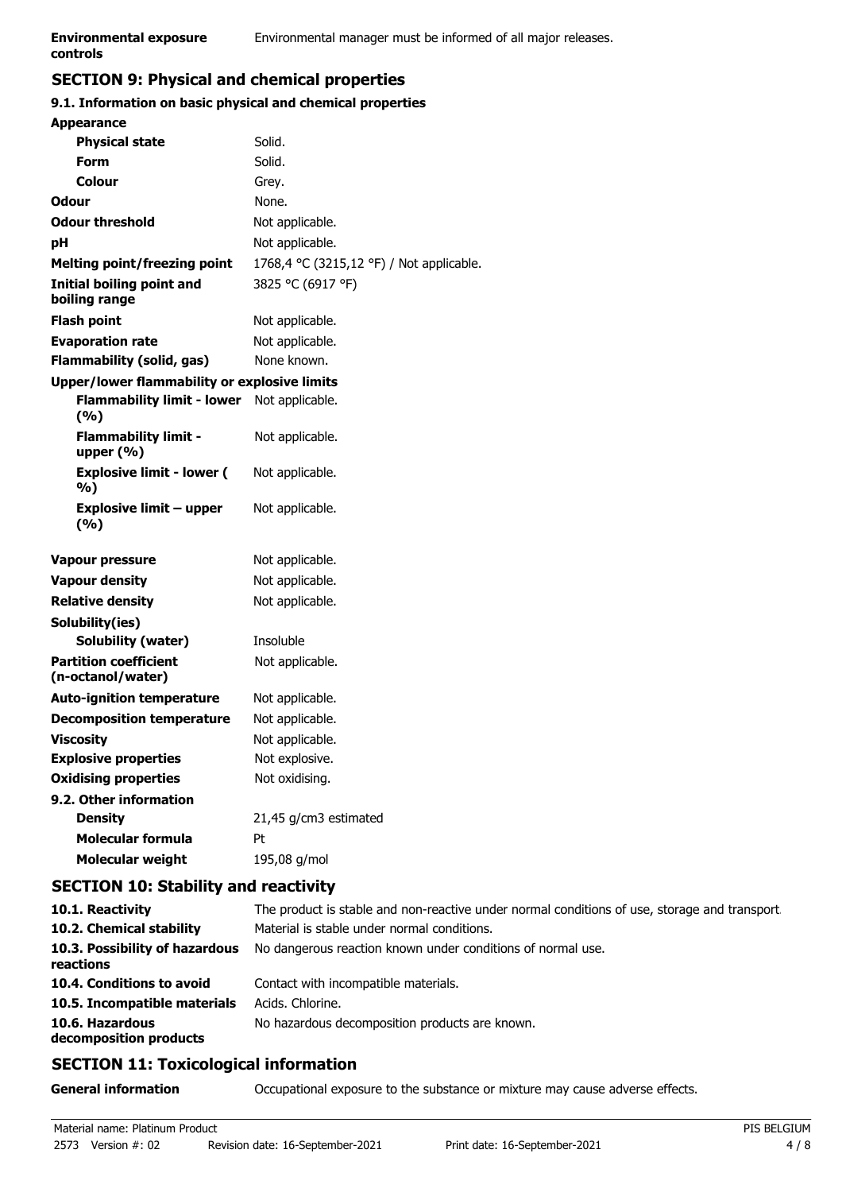# **controls**

## **SECTION 9: Physical and chemical properties 9.1. Information on basic physical and chemical properties**

| <b>Appearance</b>                                   |                                          |
|-----------------------------------------------------|------------------------------------------|
| <b>Physical state</b>                               | Solid.                                   |
| Form                                                | Solid.                                   |
| <b>Colour</b>                                       | Grey.                                    |
| <b>Odour</b>                                        | None.                                    |
| <b>Odour threshold</b>                              | Not applicable.                          |
| рH                                                  | Not applicable.                          |
| <b>Melting point/freezing point</b>                 | 1768,4 °C (3215,12 °F) / Not applicable. |
| <b>Initial boiling point and</b><br>boiling range   | 3825 °C (6917 °F)                        |
| <b>Flash point</b>                                  | Not applicable.                          |
| <b>Evaporation rate</b>                             | Not applicable.                          |
| <b>Flammability (solid, gas)</b>                    | None known.                              |
| <b>Upper/lower flammability or explosive limits</b> |                                          |
| <b>Flammability limit - lower</b><br>(%)            | Not applicable.                          |
| <b>Flammability limit -</b><br>upper $(% )$         | Not applicable.                          |
| <b>Explosive limit - lower (</b><br>%)              | Not applicable.                          |
| <b>Explosive limit - upper</b><br>(%)               | Not applicable.                          |
| Vapour pressure                                     | Not applicable.                          |
| <b>Vapour density</b>                               | Not applicable.                          |
| <b>Relative density</b>                             | Not applicable.                          |
| Solubility(ies)                                     |                                          |
| <b>Solubility (water)</b>                           | Insoluble                                |
| <b>Partition coefficient</b><br>(n-octanol/water)   | Not applicable.                          |
| <b>Auto-ignition temperature</b>                    | Not applicable.                          |
| <b>Decomposition temperature</b>                    | Not applicable.                          |
| <b>Viscosity</b>                                    | Not applicable.                          |
| <b>Explosive properties</b>                         | Not explosive.                           |
| <b>Oxidising properties</b>                         | Not oxidising.                           |
| 9.2. Other information                              |                                          |
| <b>Density</b>                                      | 21,45 g/cm3 estimated                    |
| <b>Molecular formula</b>                            | Pt                                       |
| <b>Molecular weight</b>                             | 195,08 g/mol                             |
|                                                     |                                          |

## **SECTION 10: Stability and reactivity**

| 10.1. Reactivity                            | The product is stable and non-reactive under normal conditions of use, storage and transport |
|---------------------------------------------|----------------------------------------------------------------------------------------------|
| 10.2. Chemical stability                    | Material is stable under normal conditions.                                                  |
| 10.3. Possibility of hazardous<br>reactions | No dangerous reaction known under conditions of normal use.                                  |
| 10.4. Conditions to avoid                   | Contact with incompatible materials.                                                         |
| 10.5. Incompatible materials                | Acids. Chlorine.                                                                             |
| 10.6. Hazardous<br>decomposition products   | No hazardous decomposition products are known.                                               |

# **SECTION 11: Toxicological information**

**General information CCCUPATION** Occupational exposure to the substance or mixture may cause adverse effects.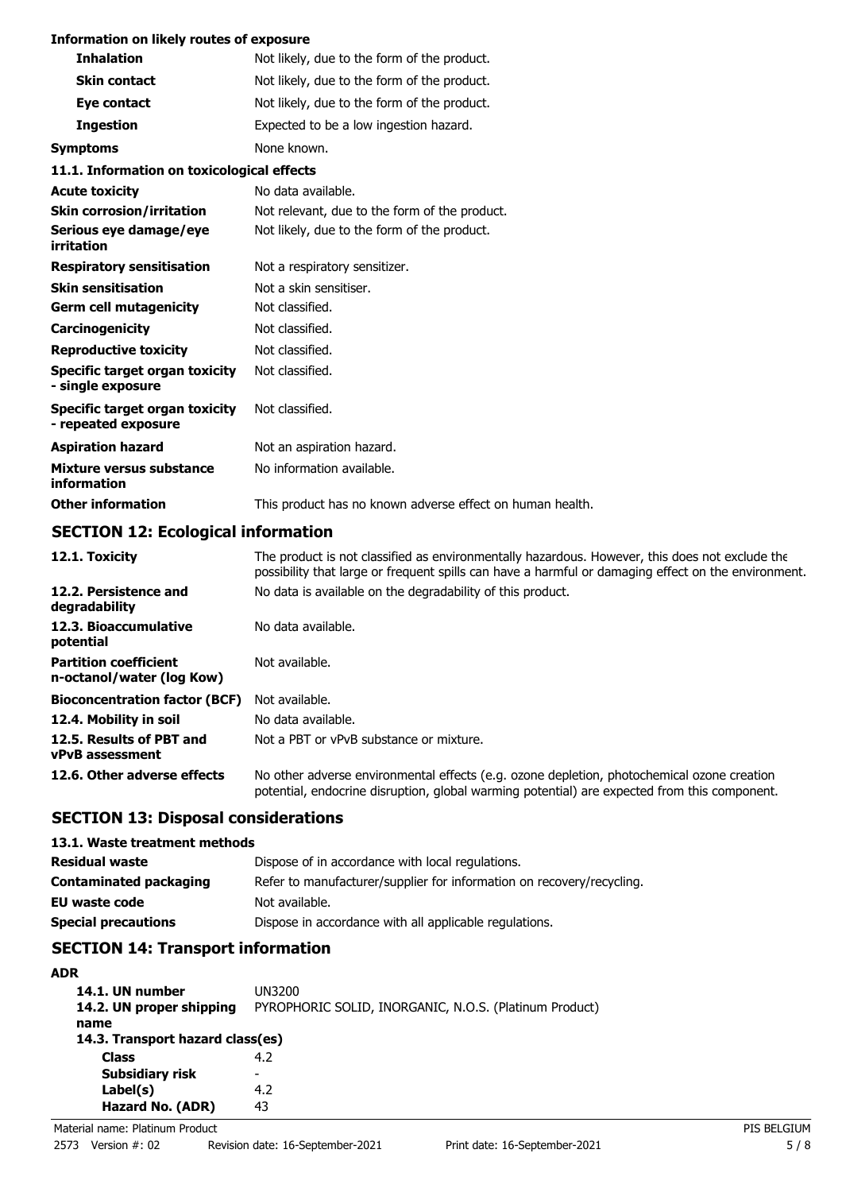### **Information on likely routes of exposure**

| <b>Inhalation</b>                                          | Not likely, due to the form of the product.               |
|------------------------------------------------------------|-----------------------------------------------------------|
| <b>Skin contact</b>                                        | Not likely, due to the form of the product.               |
| Eye contact                                                | Not likely, due to the form of the product.               |
| <b>Ingestion</b>                                           | Expected to be a low ingestion hazard.                    |
| <b>Symptoms</b>                                            | None known.                                               |
| 11.1. Information on toxicological effects                 |                                                           |
| <b>Acute toxicity</b>                                      | No data available.                                        |
| <b>Skin corrosion/irritation</b>                           | Not relevant, due to the form of the product.             |
| Serious eye damage/eye<br>irritation                       | Not likely, due to the form of the product.               |
| <b>Respiratory sensitisation</b>                           | Not a respiratory sensitizer.                             |
| <b>Skin sensitisation</b>                                  | Not a skin sensitiser.                                    |
| <b>Germ cell mutagenicity</b>                              | Not classified.                                           |
| Carcinogenicity                                            | Not classified.                                           |
| <b>Reproductive toxicity</b>                               | Not classified.                                           |
| <b>Specific target organ toxicity</b><br>- single exposure | Not classified.                                           |
| Specific target organ toxicity<br>- repeated exposure      | Not classified.                                           |
| <b>Aspiration hazard</b>                                   | Not an aspiration hazard.                                 |
| Mixture versus substance<br>information                    | No information available.                                 |
| <b>Other information</b>                                   | This product has no known adverse effect on human health. |

## **SECTION 12: Ecological information**

| 12.1. Toxicity                                            | The product is not classified as environmentally hazardous. However, this does not exclude the<br>possibility that large or frequent spills can have a harmful or damaging effect on the environment. |
|-----------------------------------------------------------|-------------------------------------------------------------------------------------------------------------------------------------------------------------------------------------------------------|
| 12.2. Persistence and<br>degradability                    | No data is available on the degradability of this product.                                                                                                                                            |
| 12.3. Bioaccumulative<br>potential                        | No data available.                                                                                                                                                                                    |
| <b>Partition coefficient</b><br>n-octanol/water (log Kow) | Not available.                                                                                                                                                                                        |
| <b>Bioconcentration factor (BCF)</b>                      | Not available.                                                                                                                                                                                        |
| 12.4. Mobility in soil                                    | No data available.                                                                                                                                                                                    |
| 12.5. Results of PBT and<br><b>vPvB</b> assessment        | Not a PBT or vPvB substance or mixture.                                                                                                                                                               |
| 12.6. Other adverse effects                               | No other adverse environmental effects (e.g. ozone depletion, photochemical ozone creation<br>potential, endocrine disruption, global warming potential) are expected from this component.            |

## **SECTION 13: Disposal considerations**

## **13.1. Waste treatment methods**

| <b>Residual waste</b>      | Dispose of in accordance with local regulations.                      |
|----------------------------|-----------------------------------------------------------------------|
| Contaminated packaging     | Refer to manufacturer/supplier for information on recovery/recycling. |
| EU waste code              | Not available.                                                        |
| <b>Special precautions</b> | Dispose in accordance with all applicable regulations.                |

# **SECTION 14: Transport information**

| <b>ADR</b>                       |                                                        |
|----------------------------------|--------------------------------------------------------|
| 14.1. UN number                  | UN3200                                                 |
| 14.2. UN proper shipping         | PYROPHORIC SOLID, INORGANIC, N.O.S. (Platinum Product) |
| name                             |                                                        |
| 14.3. Transport hazard class(es) |                                                        |
| <b>Class</b>                     | 4.2                                                    |
| Subsidiary risk                  | -                                                      |
| Label(s)                         | 4.2                                                    |
| Hazard No. (ADR)                 | 43                                                     |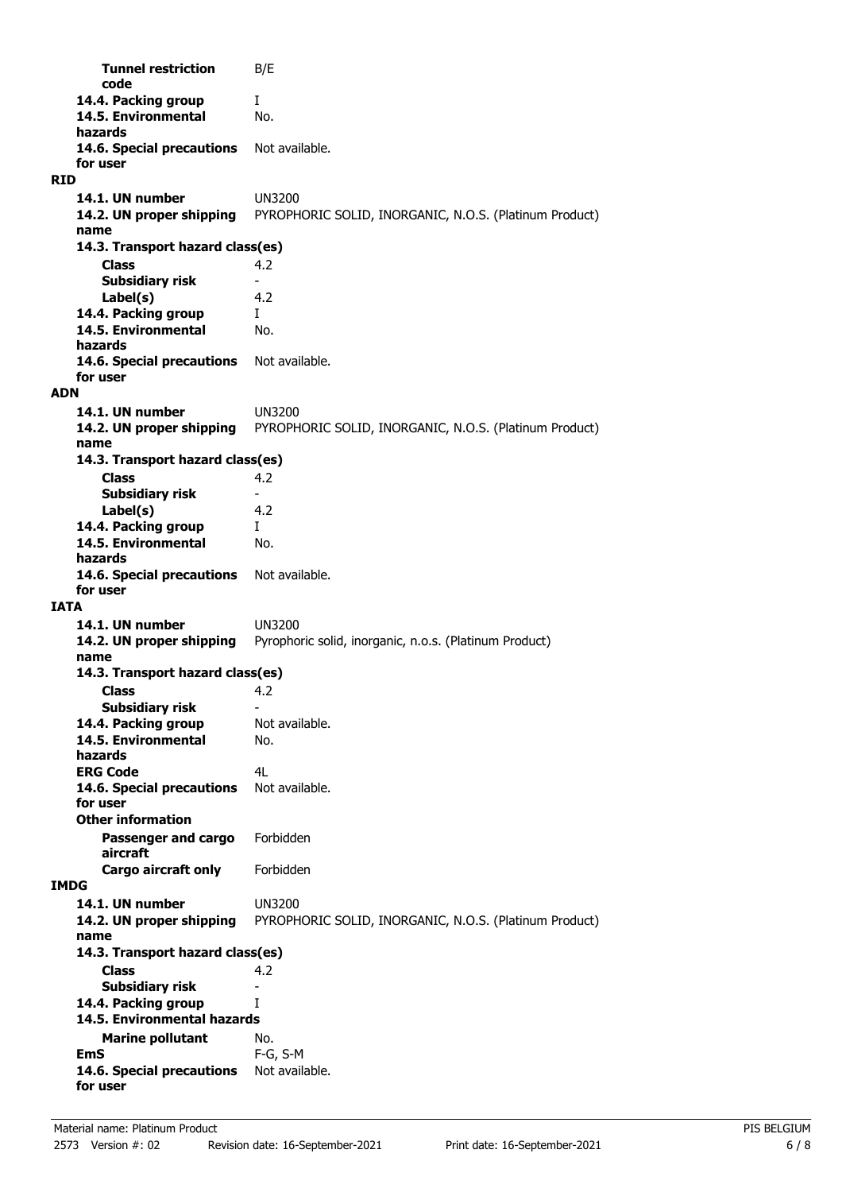**Tunnel restriction** B/E **code 14.4. Packing group** I **14.5. Environmental** No. **hazards** 14.6. Special precautions Not available. **for user RID 14.1. UN number** UN3200 **14.2. UN proper shipping** PYROPHORIC SOLID, INORGANIC, N.O.S. (Platinum Product) **name Class** 4.2 **14.3. Transport hazard class(es) Subsidiary risk Label(s)** 4.2 **14.4. Packing group** I **14.5. Environmental** No. **hazards** 14.6. Special precautions Not available. **for user ADN 14.1. UN number** UN3200 **14.2. UN proper shipping** PYROPHORIC SOLID, INORGANIC, N.O.S. (Platinum Product) **name Class** 4.2 **14.3. Transport hazard class(es) Subsidiary risk Label(s)** 4.2 **14.4. Packing group** I **14.5. Environmental** No. **hazards** 14.6. Special precautions Not available. **for user IATA 14.1. UN number** UN3200 14.2. UN proper shipping Pyrophoric solid, inorganic, n.o.s. (Platinum Product) **name Class** 4.2 **14.3. Transport hazard class(es) Subsidiary risk 14.4. Packing group** Not available. **14.5. Environmental** No. **hazards ERG Code** 4L 14.6. Special precautions Not available. **for user Passenger and cargo** Forbidden **aircraft Other information Cargo aircraft only** Forbidden **IMDG 14.1. UN number** UN3200 **14.2. UN proper shipping** PYROPHORIC SOLID, INORGANIC, N.O.S. (Platinum Product) **name Class** 4.2 **14.3. Transport hazard class(es) Subsidiary risk** - **14.4. Packing group** I **Marine pollutant** No. **14.5. Environmental hazards EmS** F-G, S-M 14.6. Special precautions Not available. **for user**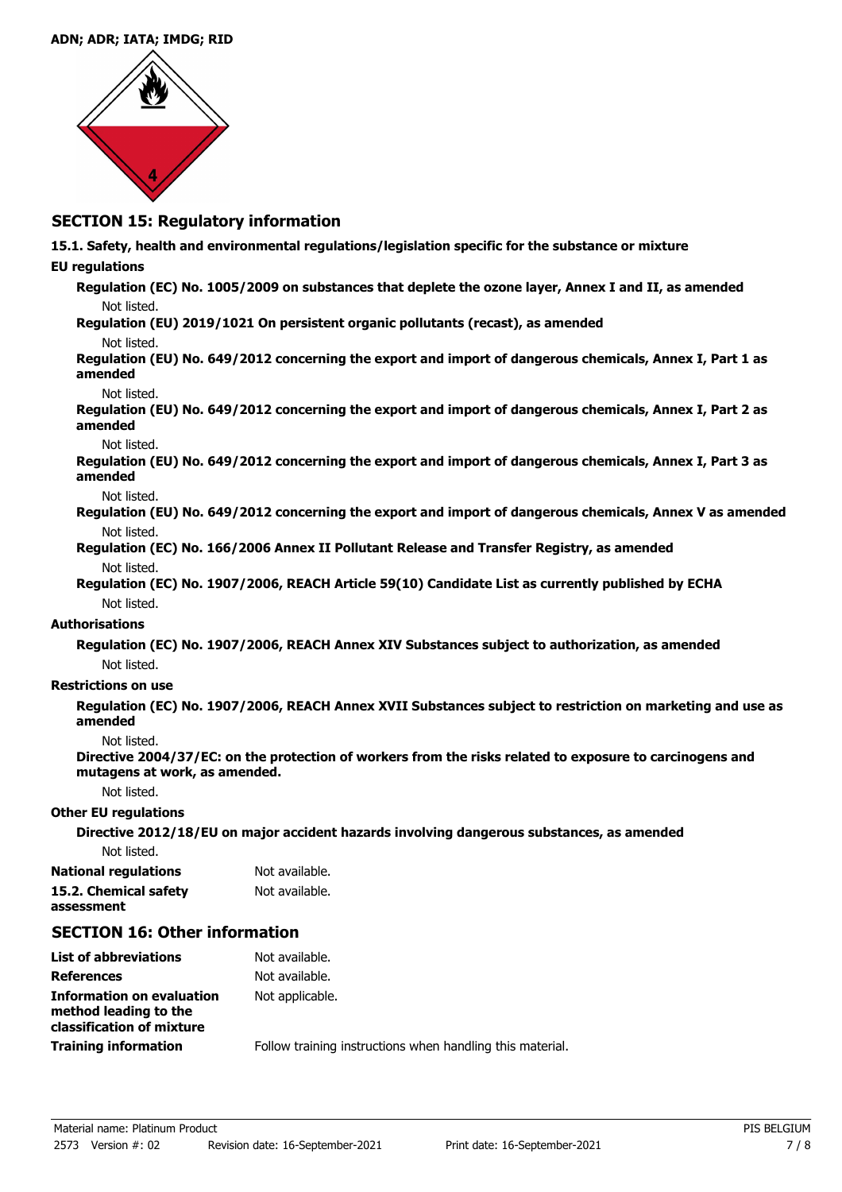#### **ADN; ADR; IATA; IMDG; RID**



## **SECTION 15: Regulatory information**

**15.1. Safety, health and environmental regulations/legislation specific for the substance or mixture**

## **EU regulations**

**Regulation (EC) No. 1005/2009 on substances that deplete the ozone layer, Annex I and II, as amended** Not listed.

**Regulation (EU) 2019/1021 On persistent organic pollutants (recast), as amended**

## Not listed.

**Regulation (EU) No. 649/2012 concerning the export and import of dangerous chemicals, Annex I, Part 1 as amended**

#### Not listed.

**Regulation (EU) No. 649/2012 concerning the export and import of dangerous chemicals, Annex I, Part 2 as amended**

#### Not listed.

**Regulation (EU) No. 649/2012 concerning the export and import of dangerous chemicals, Annex I, Part 3 as amended**

#### Not listed.

**Regulation (EU) No. 649/2012 concerning the export and import of dangerous chemicals, Annex V as amended** Not listed.

- **Regulation (EC) No. 166/2006 Annex II Pollutant Release and Transfer Registry, as amended** Not listed.
- **Regulation (EC) No. 1907/2006, REACH Article 59(10) Candidate List as currently published by ECHA** Not listed.

#### **Authorisations**

**Regulation (EC) No. 1907/2006, REACH Annex XIV Substances subject to authorization, as amended** Not listed.

### **Restrictions on use**

**Regulation (EC) No. 1907/2006, REACH Annex XVII Substances subject to restriction on marketing and use as amended**

### Not listed.

**Directive 2004/37/EC: on the protection of workers from the risks related to exposure to carcinogens and mutagens at work, as amended.**

Not listed.

## **Other EU regulations**

**Directive 2012/18/EU on major accident hazards involving dangerous substances, as amended**

Not listed.

| <b>National regulations</b> | Not available. |
|-----------------------------|----------------|
| 15.2. Chemical safety       | Not available. |
| assessment                  |                |

## **SECTION 16: Other information**

| <b>List of abbreviations</b>                                                    | Not available.                                            |
|---------------------------------------------------------------------------------|-----------------------------------------------------------|
| <b>References</b>                                                               | Not available.                                            |
| Information on evaluation<br>method leading to the<br>classification of mixture | Not applicable.                                           |
| <b>Training information</b>                                                     | Follow training instructions when handling this material. |